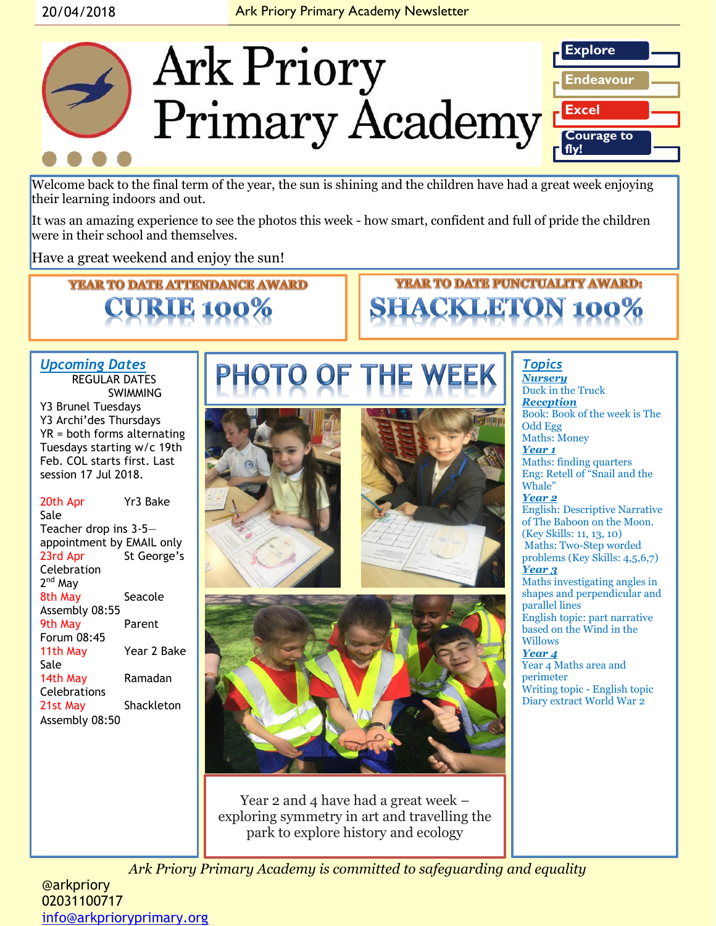

Welcome back to the final term of the year, the sun is shining and the children have had a great week enjoying their learning indoors and out.

It was an amazing experience to see the photos this week - how smart, confident and full of pride the children were in their school and themselves.

Have a great weekend and enjoy the sun!

**YEAR TO DATE ATTENDANCE AWARD** 





### *Upcoming Dates* REGULAR DATES **SWIMMING**

Y3 Brunel Tuesdays Y3 Archi'des Thursdays YR = both forms alternating Tuesdays starting w/c 19th Feb. COL starts first. Last session 17 Jul 2018.

20th Apr Yr3 Bake Sale Teacher drop ins 3-5 appointment by EMAIL only 23rd Apr St George's **Celebration** 2<sup>nd</sup> May 8th May Seacole Assembly 08:55 9th May Parent Forum 08:45 11th May Year 2 Bake Sale 14th May Ramadan Celebrations 21st May Shackleton Assembly 08:50







Year 2 and 4 have had a great week – exploring symmetry in art and travelling the park to explore history and ecology

*Topics Nursery* Duck in the Truck *Reception*  Book: Book of the week is The Odd Egg Maths: Money *Year 1* Maths: finding quarters Eng: Retell of "Snail and the Whale" *Year 2* English: Descriptive Narrative of The Baboon on the Moon. (Key Skills: 11, 13, 10) Maths: Two-Step worded problems (Key Skills: 4,5,6,7) *Year 3* Maths investigating angles in shapes and perpendicular and parallel lines English topic: part narrative based on the Wind in the Willows *Year 4* Year 4 Maths area and perimeter Writing topic - English topic Diary extract World War 2

*Ark Priory Primary Academy is committed to safeguarding and equality* 

@arkpriory 02031100717 [info@arkprioryprimary.org](mailto:info@arkprioryprimary.org)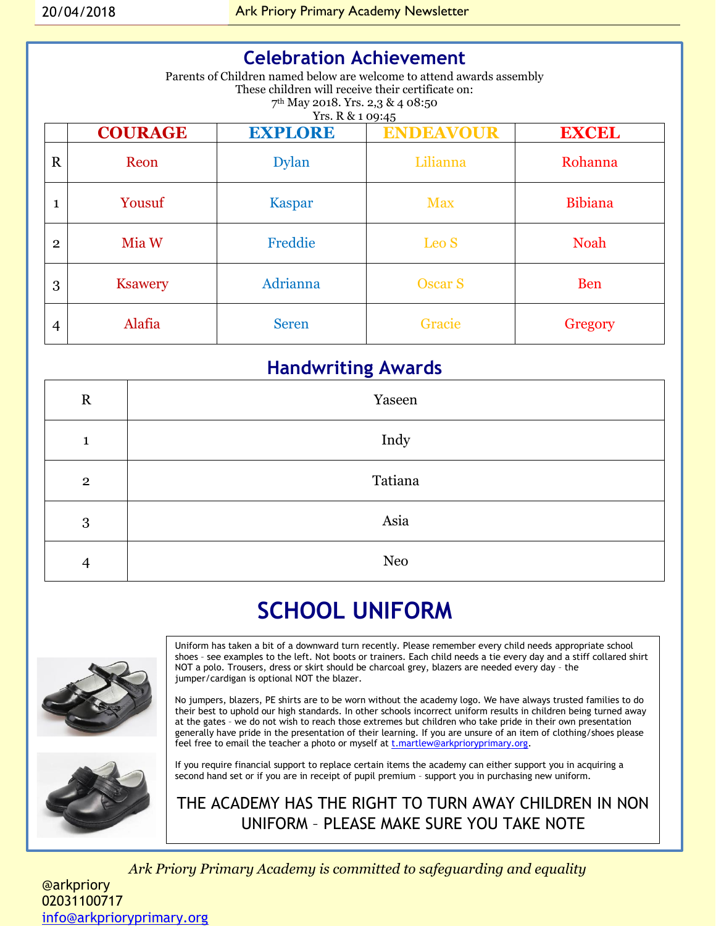| <b>Celebration Achievement</b><br>Parents of Children named below are welcome to attend awards assembly |                |                |                  |                |  |
|---------------------------------------------------------------------------------------------------------|----------------|----------------|------------------|----------------|--|
| These children will receive their certificate on:<br>$7th$ May 2018. Yrs. 2,3 & 4 08:50                 |                |                |                  |                |  |
| Yrs. R & 1 09:45                                                                                        |                |                |                  |                |  |
|                                                                                                         | <b>COURAGE</b> | <b>EXPLORE</b> | <b>ENDEAVOUR</b> | <b>EXCEL</b>   |  |
| $\mathbf R$                                                                                             | Reon           | <b>Dylan</b>   | Lilianna         | Rohanna        |  |
| $\mathbf{1}$                                                                                            | Yousuf         | Kaspar         | <b>Max</b>       | <b>Bibiana</b> |  |
| $\overline{2}$                                                                                          | Mia W          | Freddie        | Leo S            | <b>Noah</b>    |  |
| 3                                                                                                       | <b>Ksawery</b> | Adrianna       | <b>Oscar S</b>   | <b>Ben</b>     |  |
| 4                                                                                                       | Alafia         | <b>Seren</b>   | Gracie           | Gregory        |  |

# **Handwriting Awards**

| $\mathbf R$    | Yaseen     |
|----------------|------------|
| $\mathbf{1}$   | Indy       |
| $\mathbf{2}$   | Tatiana    |
| 3              | Asia       |
| $\overline{4}$ | <b>Neo</b> |

# **SCHOOL UNIFORM**



Uniform has taken a bit of a downward turn recently. Please remember every child needs appropriate school shoes – see examples to the left. Not boots or trainers. Each child needs a tie every day and a stiff collared shirt NOT a polo. Trousers, dress or skirt should be charcoal grey, blazers are needed every day – the jumper/cardigan is optional NOT the blazer.

No jumpers, blazers, PE shirts are to be worn without the academy logo. We have always trusted families to do their best to uphold our high standards. In other schools incorrect uniform results in children being turned away at the gates – we do not wish to reach those extremes but children who take pride in their own presentation generally have pride in the presentation of their learning. If you are unsure of an item of clothing/shoes please feel free to email the teacher a photo or myself at [t.martlew@arkprioryprimary.org.](mailto:t.martlew@arkprioryprimary.org)



If you require financial support to replace certain items the academy can either support you in acquiring a second hand set or if you are in receipt of pupil premium – support you in purchasing new uniform.

THE ACADEMY HAS THE RIGHT TO TURN AWAY CHILDREN IN NON UNIFORM – PLEASE MAKE SURE YOU TAKE NOTE

*Ark Priory Primary Academy is committed to safeguarding and equality*  @arkpriory 02031100717 [info@arkprioryprimary.org](mailto:info@arkprioryprimary.org)